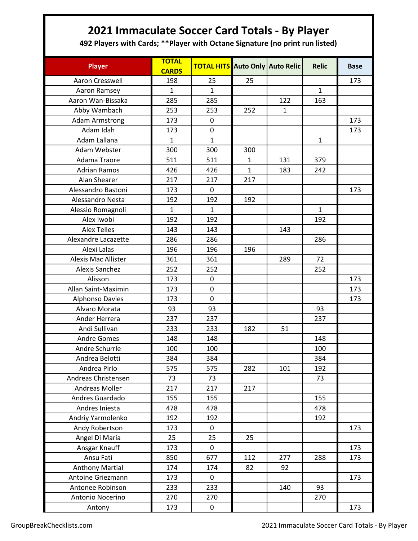## **2021 Immaculate Soccer Card Totals - By Player**

**492 Players with Cards; \*\*Player with Octane Signature (no print run listed)**

| <b>Player</b>          | <b>TOTAL</b><br><b>CARDS</b> | <b>TOTAL HITS</b> |              | Auto Only Auto Relic | <b>Relic</b> | <b>Base</b> |
|------------------------|------------------------------|-------------------|--------------|----------------------|--------------|-------------|
| Aaron Cresswell        | 198                          | 25                | 25           |                      |              | 173         |
| Aaron Ramsey           | 1                            | 1                 |              |                      | $\mathbf{1}$ |             |
| Aaron Wan-Bissaka      | 285                          | 285               |              | 122                  | 163          |             |
| Abby Wambach           | 253                          | 253               | 252          | $\mathbf{1}$         |              |             |
| <b>Adam Armstrong</b>  | 173                          | 0                 |              |                      |              | 173         |
| Adam Idah              | 173                          | 0                 |              |                      |              | 173         |
| Adam Lallana           | $\mathbf{1}$                 | $\mathbf{1}$      |              |                      | $\mathbf{1}$ |             |
| Adam Webster           | 300                          | 300               | 300          |                      |              |             |
| Adama Traore           | 511                          | 511               | $\mathbf{1}$ | 131                  | 379          |             |
| <b>Adrian Ramos</b>    | 426                          | 426               | $\mathbf{1}$ | 183                  | 242          |             |
| Alan Shearer           | 217                          | 217               | 217          |                      |              |             |
| Alessandro Bastoni     | 173                          | $\mathbf 0$       |              |                      |              | 173         |
| Alessandro Nesta       | 192                          | 192               | 192          |                      |              |             |
| Alessio Romagnoli      | $\mathbf{1}$                 | $\mathbf{1}$      |              |                      | $\mathbf{1}$ |             |
| Alex Iwobi             | 192                          | 192               |              |                      | 192          |             |
| <b>Alex Telles</b>     | 143                          | 143               |              | 143                  |              |             |
| Alexandre Lacazette    | 286                          | 286               |              |                      | 286          |             |
| Alexi Lalas            | 196                          | 196               | 196          |                      |              |             |
| Alexis Mac Allister    | 361                          | 361               |              | 289                  | 72           |             |
| <b>Alexis Sanchez</b>  | 252                          | 252               |              |                      | 252          |             |
| Alisson                | 173                          | 0                 |              |                      |              | 173         |
| Allan Saint-Maximin    | 173                          | 0                 |              |                      |              | 173         |
| <b>Alphonso Davies</b> | 173                          | $\mathsf 0$       |              |                      |              | 173         |
| Alvaro Morata          | 93                           | 93                |              |                      | 93           |             |
| Ander Herrera          | 237                          | 237               |              |                      | 237          |             |
| Andi Sullivan          | 233                          | 233               | 182          | 51                   |              |             |
| <b>Andre Gomes</b>     | 148                          | 148               |              |                      | 148          |             |
| Andre Schurrle         | 100                          | 100               |              |                      | 100          |             |
| Andrea Belotti         | 384                          | 384               |              |                      | 384          |             |
| Andrea Pirlo           | 575                          | 575               | 282          | 101                  | 192          |             |
| Andreas Christensen    | 73                           | 73                |              |                      | 73           |             |
| Andreas Moller         | 217                          | 217               | 217          |                      |              |             |
| Andres Guardado        | 155                          | 155               |              |                      | 155          |             |
| Andres Iniesta         | 478                          | 478               |              |                      | 478          |             |
| Andriy Yarmolenko      | 192                          | 192               |              |                      | 192          |             |
| Andy Robertson         | 173                          | $\pmb{0}$         |              |                      |              | 173         |
| Angel Di Maria         | 25                           | 25                | 25           |                      |              |             |
| Ansgar Knauff          | 173                          | 0                 |              |                      |              | 173         |
| Ansu Fati              | 850                          | 677               | 112          | 277                  | 288          | 173         |
| <b>Anthony Martial</b> | 174                          | 174               | 82           | 92                   |              |             |
| Antoine Griezmann      | 173                          | $\mathbf 0$       |              |                      |              | 173         |
| Antonee Robinson       | 233                          | 233               |              | 140                  | 93           |             |
| Antonio Nocerino       | 270                          | 270               |              |                      | 270          |             |
| Antony                 | 173                          | $\mathbf 0$       |              |                      |              | 173         |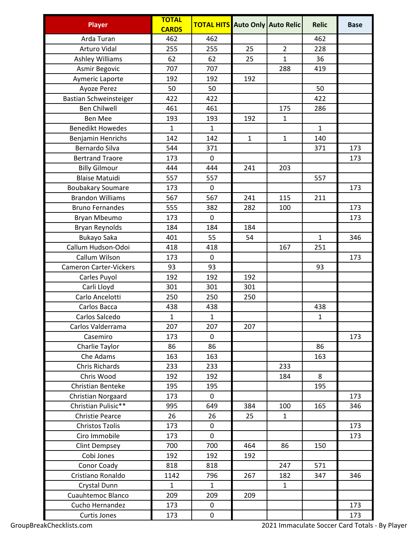| <b>Player</b>                     | <b>TOTAL</b><br><b>CARDS</b> | <b>TOTAL HITS</b> Auto Only Auto Relic |              |                | <b>Relic</b>        | <b>Base</b> |
|-----------------------------------|------------------------------|----------------------------------------|--------------|----------------|---------------------|-------------|
| Arda Turan                        | 462                          | 462                                    |              |                | 462                 |             |
| <b>Arturo Vidal</b>               | 255                          | 255                                    | 25           | $\overline{2}$ | 228                 |             |
| <b>Ashley Williams</b>            | 62                           | 62                                     | 25           | $\mathbf{1}$   | 36                  |             |
| <b>Asmir Begovic</b>              | 707                          | 707                                    |              | 288            | 419                 |             |
| Aymeric Laporte                   | 192                          | 192                                    | 192          |                |                     |             |
| Ayoze Perez                       | 50                           | 50                                     |              |                | 50                  |             |
| Bastian Schweinsteiger            | 422                          | 422                                    |              |                | 422                 |             |
| <b>Ben Chilwell</b>               | 461                          | 461                                    |              | 175            | 286                 |             |
| <b>Ben Mee</b>                    | 193                          | 193                                    | 192          | $\mathbf{1}$   |                     |             |
| <b>Benedikt Howedes</b>           | $\mathbf{1}$                 | $\mathbf{1}$                           |              |                | $\mathbf{1}$        |             |
| Benjamin Henrichs                 | 142                          | 142                                    | $\mathbf{1}$ | $\mathbf{1}$   | 140                 |             |
| Bernardo Silva                    | 544                          | 371                                    |              |                | 371                 | 173         |
| <b>Bertrand Traore</b>            | 173                          | $\mathbf 0$                            |              |                |                     | 173         |
| <b>Billy Gilmour</b>              | 444                          | 444                                    | 241          | 203            |                     |             |
| <b>Blaise Matuidi</b>             | 557                          | 557                                    |              |                | 557                 |             |
| <b>Boubakary Soumare</b>          | 173                          | 0                                      |              |                |                     | 173         |
| <b>Brandon Williams</b>           | 567                          | 567                                    | 241          | 115            | 211                 |             |
| <b>Bruno Fernandes</b>            | 555                          | 382                                    | 282          | 100            |                     | 173         |
|                                   | 173                          | $\mathbf 0$                            |              |                |                     | 173         |
| Bryan Mbeumo                      | 184                          | 184                                    | 184          |                |                     |             |
| <b>Bryan Reynolds</b>             | 401                          | 55                                     | 54           |                | $\mathbf{1}$        | 346         |
| Bukayo Saka<br>Callum Hudson-Odoi | 418                          | 418                                    |              | 167            | 251                 |             |
| Callum Wilson                     | 173                          | $\mathbf 0$                            |              |                |                     | 173         |
| <b>Cameron Carter-Vickers</b>     | 93                           | 93                                     |              |                | 93                  |             |
|                                   | 192                          | 192                                    | 192          |                |                     |             |
| Carles Puyol                      | 301                          | 301                                    | 301          |                |                     |             |
| Carli Lloyd<br>Carlo Ancelotti    |                              |                                        |              |                |                     |             |
|                                   | 250                          | 250                                    | 250          |                |                     |             |
| Carlos Bacca<br>Carlos Salcedo    | 438<br>$\mathbf{1}$          | 438<br>$\mathbf{1}$                    |              |                | 438<br>$\mathbf{1}$ |             |
|                                   |                              |                                        |              |                |                     |             |
| Carlos Valderrama                 | 207                          | 207                                    | 207          |                |                     |             |
| Casemiro                          | 173                          | $\mathbf 0$                            |              |                |                     | 173         |
| Charlie Taylor                    | 86                           | 86                                     |              |                | 86                  |             |
| Che Adams                         | 163                          | 163                                    |              |                | 163                 |             |
| <b>Chris Richards</b>             | 233                          | 233                                    |              | 233            |                     |             |
| Chris Wood                        | 192                          | 192                                    |              | 184            | 8                   |             |
| Christian Benteke                 | 195                          | 195                                    |              |                | 195                 |             |
| Christian Norgaard                | 173                          | 0                                      |              |                |                     | 173         |
| Christian Pulisic**               | 995                          | 649                                    | 384          | 100            | 165                 | 346         |
| <b>Christie Pearce</b>            | 26                           | 26                                     | 25           | $\mathbf{1}$   |                     |             |
| <b>Christos Tzolis</b>            | 173                          | 0                                      |              |                |                     | 173         |
| Ciro Immobile                     | 173                          | 0                                      |              |                |                     | 173         |
| <b>Clint Dempsey</b>              | 700                          | 700                                    | 464          | 86             | 150                 |             |
| Cobi Jones                        | 192                          | 192                                    | 192          |                |                     |             |
| Conor Coady                       | 818                          | 818                                    |              | 247            | 571                 |             |
| Cristiano Ronaldo                 | 1142                         | 796                                    | 267          | 182            | 347                 | 346         |
| <b>Crystal Dunn</b>               | $\mathbf{1}$                 | $\mathbf{1}$                           |              | $\mathbf{1}$   |                     |             |
| <b>Cuauhtemoc Blanco</b>          | 209                          | 209                                    | 209          |                |                     |             |
| Cucho Hernandez                   | 173                          | $\mathbf 0$                            |              |                |                     | 173         |
| <b>Curtis Jones</b>               | 173                          | 0                                      |              |                |                     | 173         |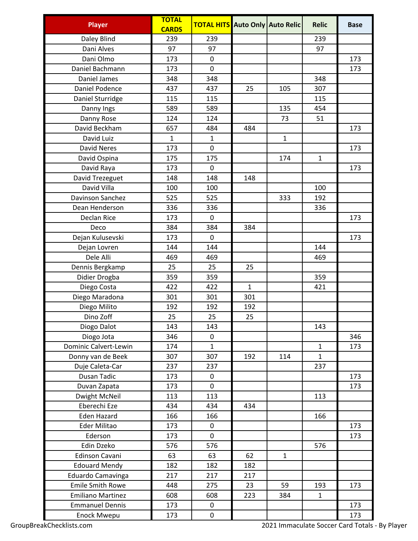| <b>Player</b>            | <b>TOTAL</b> | <b>TOTAL HITS</b> Auto Only Auto Relic |              |              | <b>Relic</b> | <b>Base</b> |
|--------------------------|--------------|----------------------------------------|--------------|--------------|--------------|-------------|
|                          | <b>CARDS</b> |                                        |              |              |              |             |
| Daley Blind              | 239          | 239                                    |              |              | 239          |             |
| Dani Alves               | 97           | 97                                     |              |              | 97           |             |
| Dani Olmo                | 173          | $\mathbf 0$                            |              |              |              | 173         |
| Daniel Bachmann          | 173          | 0                                      |              |              |              | 173         |
| Daniel James             | 348          | 348                                    |              |              | 348          |             |
| Daniel Podence           | 437          | 437                                    | 25           | 105          | 307          |             |
| Daniel Sturridge         | 115          | 115                                    |              |              | 115          |             |
| Danny Ings               | 589          | 589                                    |              | 135          | 454          |             |
| Danny Rose               | 124          | 124                                    |              | 73           | 51           |             |
| David Beckham            | 657          | 484                                    | 484          |              |              | 173         |
| David Luiz               | $\mathbf{1}$ | $\mathbf{1}$                           |              | $\mathbf{1}$ |              |             |
| <b>David Neres</b>       | 173          | $\mathbf 0$                            |              |              |              | 173         |
| David Ospina             | 175          | 175                                    |              | 174          | $\mathbf{1}$ |             |
| David Raya               | 173          | 0                                      |              |              |              | 173         |
| David Trezeguet          | 148          | 148                                    | 148          |              |              |             |
| David Villa              | 100          | 100                                    |              |              | 100          |             |
| Davinson Sanchez         | 525          | 525                                    |              | 333          | 192          |             |
| Dean Henderson           | 336          | 336                                    |              |              | 336          |             |
| Declan Rice              | 173          | 0                                      |              |              |              | 173         |
| Deco                     | 384          | 384                                    | 384          |              |              |             |
| Dejan Kulusevski         | 173          | 0                                      |              |              |              | 173         |
| Dejan Lovren             | 144          | 144                                    |              |              | 144          |             |
| Dele Alli                | 469          | 469                                    |              |              | 469          |             |
| Dennis Bergkamp          | 25           | 25                                     | 25           |              |              |             |
| Didier Drogba            | 359          | 359                                    |              |              | 359          |             |
| Diego Costa              | 422          | 422                                    | $\mathbf{1}$ |              | 421          |             |
| Diego Maradona           | 301          | 301                                    | 301          |              |              |             |
| Diego Milito             | 192          | 192                                    | 192          |              |              |             |
| Dino Zoff                | 25           | 25                                     | 25           |              |              |             |
| Diogo Dalot              | 143          | 143                                    |              |              | 143          |             |
| Diogo Jota               | 346          | $\mathbf 0$                            |              |              |              | 346         |
| Dominic Calvert-Lewin    | 174          | $\mathbf{1}$                           |              |              | $\mathbf{1}$ | 173         |
| Donny van de Beek        | 307          | 307                                    | 192          | 114          | $\mathbf{1}$ |             |
| Duje Caleta-Car          | 237          | 237                                    |              |              | 237          |             |
| Dusan Tadic              | 173          | 0                                      |              |              |              | 173         |
| Duvan Zapata             | 173          | $\mathbf 0$                            |              |              |              | 173         |
| Dwight McNeil            | 113          | 113                                    |              |              | 113          |             |
| Eberechi Eze             | 434          | 434                                    | 434          |              |              |             |
| <b>Eden Hazard</b>       | 166          | 166                                    |              |              | 166          |             |
| Eder Militao             | 173          | 0                                      |              |              |              | 173         |
| Ederson                  | 173          | $\mathbf 0$                            |              |              |              | 173         |
| Edin Dzeko               | 576          | 576                                    |              |              | 576          |             |
| Edinson Cavani           | 63           | 63                                     | 62           | $\mathbf{1}$ |              |             |
| <b>Edouard Mendy</b>     | 182          | 182                                    | 182          |              |              |             |
| Eduardo Camavinga        | 217          | 217                                    | 217          |              |              |             |
| <b>Emile Smith Rowe</b>  | 448          | 275                                    | 23           | 59           | 193          | 173         |
| <b>Emiliano Martinez</b> | 608          | 608                                    | 223          | 384          | $\mathbf{1}$ |             |
| <b>Emmanuel Dennis</b>   | 173          | $\pmb{0}$                              |              |              |              | 173         |
| <b>Enock Mwepu</b>       | 173          | $\pmb{0}$                              |              |              |              | 173         |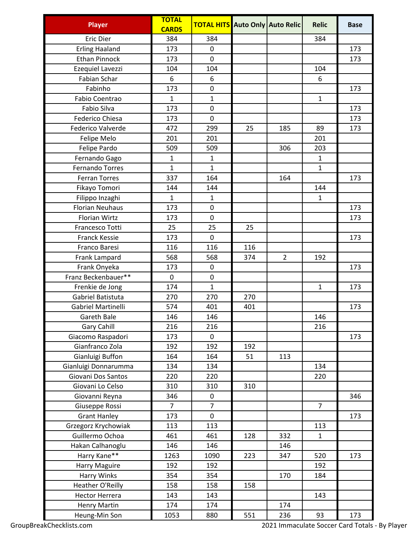| <b>Player</b>          | <b>TOTAL</b><br><b>CARDS</b> | <b>TOTAL HITS</b> Auto Only Auto Relic |     |                | <b>Relic</b>   | <b>Base</b> |
|------------------------|------------------------------|----------------------------------------|-----|----------------|----------------|-------------|
| <b>Eric Dier</b>       | 384                          | 384                                    |     |                | 384            |             |
| <b>Erling Haaland</b>  | 173                          | 0                                      |     |                |                | 173         |
| <b>Ethan Pinnock</b>   | 173                          | 0                                      |     |                |                | 173         |
| Ezequiel Lavezzi       | 104                          | 104                                    |     |                | 104            |             |
| Fabian Schar           | 6                            | 6                                      |     |                | 6              |             |
| Fabinho                | 173                          | 0                                      |     |                |                | 173         |
| Fabio Coentrao         | $\mathbf{1}$                 | $\mathbf{1}$                           |     |                | $\mathbf{1}$   |             |
| Fabio Silva            | 173                          | 0                                      |     |                |                | 173         |
| <b>Federico Chiesa</b> | 173                          | 0                                      |     |                |                | 173         |
| Federico Valverde      | 472                          | 299                                    | 25  | 185            | 89             | 173         |
| Felipe Melo            | 201                          | 201                                    |     |                | 201            |             |
| Felipe Pardo           | 509                          | 509                                    |     | 306            | 203            |             |
| Fernando Gago          | 1                            | 1                                      |     |                | 1              |             |
| <b>Fernando Torres</b> | $\mathbf{1}$                 | $\mathbf{1}$                           |     |                | $\mathbf{1}$   |             |
| <b>Ferran Torres</b>   | 337                          | 164                                    |     | 164            |                | 173         |
| Fikayo Tomori          | 144                          | 144                                    |     |                | 144            |             |
| Filippo Inzaghi        | $\mathbf{1}$                 | $\mathbf{1}$                           |     |                | $\mathbf{1}$   |             |
| <b>Florian Neuhaus</b> | 173                          | 0                                      |     |                |                | 173         |
| <b>Florian Wirtz</b>   | 173                          | $\mathbf 0$                            |     |                |                | 173         |
| Francesco Totti        | 25                           | 25                                     | 25  |                |                |             |
| <b>Franck Kessie</b>   | 173                          | 0                                      |     |                |                | 173         |
| Franco Baresi          | 116                          | 116                                    | 116 |                |                |             |
| Frank Lampard          | 568                          | 568                                    | 374 | $\overline{2}$ | 192            |             |
| Frank Onyeka           | 173                          | 0                                      |     |                |                | 173         |
| Franz Beckenbauer**    | $\pmb{0}$                    | $\pmb{0}$                              |     |                |                |             |
| Frenkie de Jong        | 174                          | $\mathbf{1}$                           |     |                | $\mathbf{1}$   | 173         |
| Gabriel Batistuta      | 270                          | 270                                    | 270 |                |                |             |
| Gabriel Martinelli     | 574                          | 401                                    | 401 |                |                | 173         |
| <b>Gareth Bale</b>     | 146                          | 146                                    |     |                | 146            |             |
| Gary Cahill            | 216                          | 216                                    |     |                | 216            |             |
| Giacomo Raspadori      | 173                          | $\mathbf 0$                            |     |                |                | 173         |
| Gianfranco Zola        | 192                          | 192                                    | 192 |                |                |             |
| Gianluigi Buffon       | 164                          | 164                                    | 51  | 113            |                |             |
| Gianluigi Donnarumma   | 134                          | 134                                    |     |                | 134            |             |
| Giovani Dos Santos     | 220                          | 220                                    |     |                | 220            |             |
| Giovani Lo Celso       | 310                          | 310                                    | 310 |                |                |             |
| Giovanni Reyna         | 346                          | 0                                      |     |                |                | 346         |
| Giuseppe Rossi         | $\overline{7}$               | $\overline{7}$                         |     |                | $\overline{7}$ |             |
| <b>Grant Hanley</b>    | 173                          | $\mathbf 0$                            |     |                |                | 173         |
| Grzegorz Krychowiak    | 113                          | 113                                    |     |                | 113            |             |
| Guillermo Ochoa        | 461                          | 461                                    | 128 | 332            | $\mathbf{1}$   |             |
| Hakan Calhanoglu       | 146                          | 146                                    |     | 146            |                |             |
| Harry Kane**           | 1263                         | 1090                                   | 223 | 347            | 520            | 173         |
| Harry Maguire          | 192                          | 192                                    |     |                | 192            |             |
| Harry Winks            | 354                          | 354                                    |     | 170            | 184            |             |
| Heather O'Reilly       | 158                          | 158                                    | 158 |                |                |             |
| <b>Hector Herrera</b>  | 143                          | 143                                    |     |                | 143            |             |
| <b>Henry Martin</b>    | 174                          | 174                                    |     | 174            |                |             |
| Heung-Min Son          | 1053                         | 880                                    | 551 | 236            | 93             | 173         |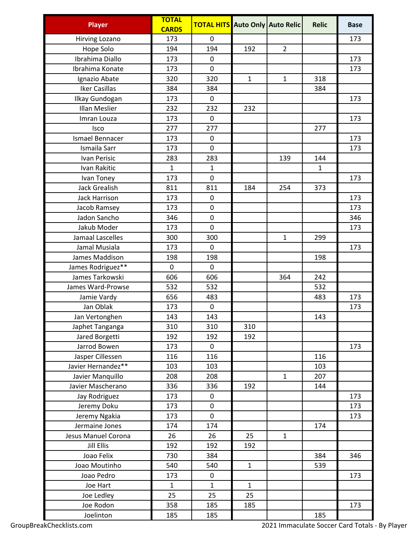| <b>Player</b>         | <b>TOTAL</b><br><b>CARDS</b> | <b>TOTAL HITS</b> Auto Only Auto Relic |              |                | <b>Relic</b> | <b>Base</b> |
|-----------------------|------------------------------|----------------------------------------|--------------|----------------|--------------|-------------|
| <b>Hirving Lozano</b> | 173                          | 0                                      |              |                |              | 173         |
| Hope Solo             | 194                          | 194                                    | 192          | $\overline{2}$ |              |             |
| Ibrahima Diallo       | 173                          | 0                                      |              |                |              | 173         |
| Ibrahima Konate       | 173                          | 0                                      |              |                |              | 173         |
| Ignazio Abate         | 320                          | 320                                    | $\mathbf{1}$ | $\mathbf{1}$   | 318          |             |
| <b>Iker Casillas</b>  | 384                          | 384                                    |              |                | 384          |             |
| Ilkay Gundogan        | 173                          | 0                                      |              |                |              | 173         |
| Illan Meslier         | 232                          | 232                                    | 232          |                |              |             |
| Imran Louza           | 173                          | 0                                      |              |                |              | 173         |
| Isco                  | 277                          | 277                                    |              |                | 277          |             |
| Ismael Bennacer       | 173                          | 0                                      |              |                |              | 173         |
| Ismaila Sarr          | 173                          | 0                                      |              |                |              | 173         |
| Ivan Perisic          | 283                          | 283                                    |              | 139            | 144          |             |
| Ivan Rakitic          | $\mathbf{1}$                 | $\mathbf{1}$                           |              |                | $\mathbf{1}$ |             |
| Ivan Toney            | 173                          | 0                                      |              |                |              | 173         |
| Jack Grealish         | 811                          | 811                                    | 184          | 254            | 373          |             |
| <b>Jack Harrison</b>  | 173                          | 0                                      |              |                |              | 173         |
| Jacob Ramsey          | 173                          | 0                                      |              |                |              | 173         |
| Jadon Sancho          | 346                          | 0                                      |              |                |              | 346         |
| Jakub Moder           | 173                          | 0                                      |              |                |              | 173         |
| Jamaal Lascelles      | 300                          | 300                                    |              | $\mathbf{1}$   | 299          |             |
| Jamal Musiala         | 173                          | 0                                      |              |                |              | 173         |
| James Maddison        | 198                          | 198                                    |              |                | 198          |             |
| James Rodriguez**     | 0                            | 0                                      |              |                |              |             |
| James Tarkowski       | 606                          | 606                                    |              | 364            | 242          |             |
| James Ward-Prowse     | 532                          | 532                                    |              |                | 532          |             |
| Jamie Vardy           | 656                          | 483                                    |              |                | 483          | 173         |
| Jan Oblak             | 173                          | 0                                      |              |                |              | 173         |
| Jan Vertonghen        | 143                          | 143                                    |              |                | 143          |             |
| Japhet Tanganga       | 310                          | 310                                    | 310          |                |              |             |
| Jared Borgetti        | 192                          | 192                                    | 192          |                |              |             |
| Jarrod Bowen          | 173                          | 0                                      |              |                |              | 173         |
| Jasper Cillessen      | 116                          | 116                                    |              |                | 116          |             |
| Javier Hernandez**    | 103                          | 103                                    |              |                | 103          |             |
| Javier Manquillo      | 208                          | 208                                    |              | $\mathbf{1}$   | 207          |             |
| Javier Mascherano     | 336                          | 336                                    | 192          |                | 144          |             |
| Jay Rodriguez         | 173                          | 0                                      |              |                |              | 173         |
| Jeremy Doku           | 173                          | 0                                      |              |                |              | 173         |
| Jeremy Ngakia         | 173                          | $\mathbf 0$                            |              |                |              | 173         |
| Jermaine Jones        | 174                          | 174                                    |              |                | 174          |             |
| Jesus Manuel Corona   | 26                           | 26                                     | 25           | $\mathbf{1}$   |              |             |
| <b>Jill Ellis</b>     | 192                          | 192                                    | 192          |                |              |             |
| Joao Felix            | 730                          | 384                                    |              |                | 384          | 346         |
| Joao Moutinho         | 540                          | 540                                    | $\mathbf{1}$ |                | 539          |             |
| Joao Pedro            | 173                          | 0                                      |              |                |              | 173         |
| Joe Hart              | $\mathbf{1}$                 | $\mathbf{1}$                           | $\mathbf{1}$ |                |              |             |
| Joe Ledley            | 25                           | 25                                     | 25           |                |              |             |
| Joe Rodon             | 358                          | 185                                    | 185          |                |              | 173         |
| Joelinton             | 185                          | 185                                    |              |                | 185          |             |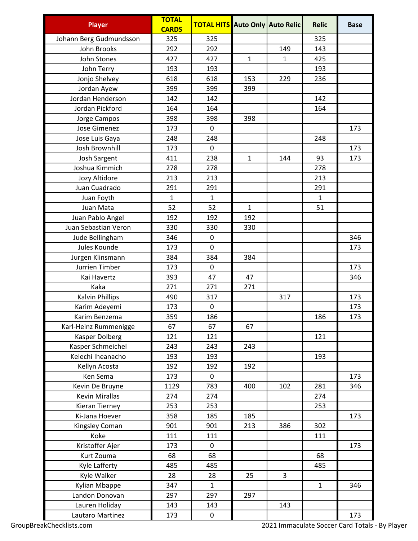| <b>Player</b>           | <b>TOTAL</b><br><b>CARDS</b> | <b>TOTAL HITS</b> Auto Only Auto Relic |              |              | <b>Relic</b> | <b>Base</b> |
|-------------------------|------------------------------|----------------------------------------|--------------|--------------|--------------|-------------|
| Johann Berg Gudmundsson | 325                          | 325                                    |              |              | 325          |             |
| John Brooks             | 292                          | 292                                    |              | 149          | 143          |             |
| John Stones             | 427                          | 427                                    | $\mathbf{1}$ | $\mathbf{1}$ | 425          |             |
| John Terry              | 193                          | 193                                    |              |              | 193          |             |
| Jonjo Shelvey           | 618                          | 618                                    | 153          | 229          | 236          |             |
| Jordan Ayew             | 399                          | 399                                    | 399          |              |              |             |
| Jordan Henderson        | 142                          | 142                                    |              |              | 142          |             |
| Jordan Pickford         | 164                          | 164                                    |              |              | 164          |             |
| Jorge Campos            | 398                          | 398                                    | 398          |              |              |             |
| Jose Gimenez            | 173                          | 0                                      |              |              |              | 173         |
| Jose Luis Gaya          | 248                          | 248                                    |              |              | 248          |             |
| Josh Brownhill          | 173                          | 0                                      |              |              |              | 173         |
| <b>Josh Sargent</b>     | 411                          | 238                                    | $\mathbf{1}$ | 144          | 93           | 173         |
| Joshua Kimmich          | 278                          | 278                                    |              |              | 278          |             |
| Jozy Altidore           | 213                          | 213                                    |              |              | 213          |             |
| Juan Cuadrado           | 291                          | 291                                    |              |              | 291          |             |
| Juan Foyth              | $\mathbf{1}$                 | $\mathbf{1}$                           |              |              | $\mathbf{1}$ |             |
| Juan Mata               | 52                           | 52                                     | $\mathbf{1}$ |              | 51           |             |
| Juan Pablo Angel        | 192                          | 192                                    | 192          |              |              |             |
| Juan Sebastian Veron    | 330                          | 330                                    | 330          |              |              |             |
| Jude Bellingham         | 346                          | 0                                      |              |              |              | 346         |
| Jules Kounde            | 173                          | 0                                      |              |              |              | 173         |
| Jurgen Klinsmann        | 384                          | 384                                    | 384          |              |              |             |
| Jurrien Timber          | 173                          | 0                                      |              |              |              | 173         |
| Kai Havertz             | 393                          | 47                                     | 47           |              |              | 346         |
| Kaka                    | 271                          | 271                                    | 271          |              |              |             |
| Kalvin Phillips         | 490                          | 317                                    |              | 317          |              | 173         |
| Karim Adeyemi           | 173                          | 0                                      |              |              |              | 173         |
| Karim Benzema           | 359                          | 186                                    |              |              | 186          | 173         |
| Karl-Heinz Rummenigge   | 67                           | 67                                     | 67           |              |              |             |
| Kasper Dolberg          | 121                          | 121                                    |              |              | 121          |             |
| Kasper Schmeichel       | 243                          | 243                                    | 243          |              |              |             |
| Kelechi Iheanacho       | 193                          | 193                                    |              |              | 193          |             |
| Kellyn Acosta           | 192                          | 192                                    | 192          |              |              |             |
| Ken Sema                | 173                          | 0                                      |              |              |              | 173         |
| Kevin De Bruyne         | 1129                         | 783                                    | 400          | 102          | 281          | 346         |
| Kevin Mirallas          | 274                          | 274                                    |              |              | 274          |             |
| Kieran Tierney          | 253                          | 253                                    |              |              | 253          |             |
| Ki-Jana Hoever          | 358                          | 185                                    | 185          |              |              | 173         |
| Kingsley Coman          | 901                          | 901                                    | 213          | 386          | 302          |             |
| Koke                    | 111                          | 111                                    |              |              | 111          |             |
| Kristoffer Ajer         | 173                          | 0                                      |              |              |              | 173         |
| Kurt Zouma              | 68                           | 68                                     |              |              | 68           |             |
| Kyle Lafferty           | 485                          | 485                                    |              |              | 485          |             |
| Kyle Walker             | 28                           | 28                                     | 25           | 3            |              |             |
| Kylian Mbappe           | 347                          | $\mathbf{1}$                           |              |              | $\mathbf{1}$ | 346         |
| Landon Donovan          | 297                          | 297                                    | 297          |              |              |             |
| Lauren Holiday          | 143                          | 143                                    |              | 143          |              |             |
| Lautaro Martinez        | 173                          | 0                                      |              |              |              | 173         |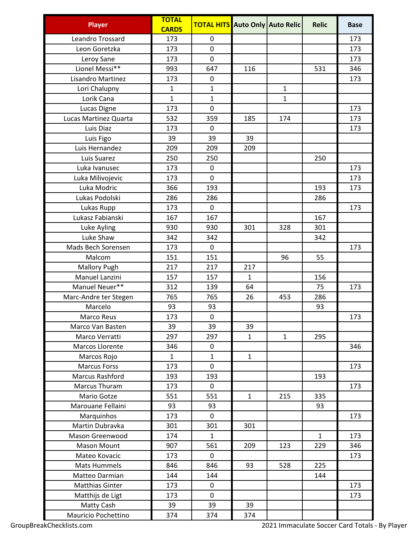| <b>Player</b>          | <b>TOTAL</b><br><b>CARDS</b> | <b>TOTAL HITS</b> Auto Only Auto Relic |              |              | <b>Relic</b> | <b>Base</b> |
|------------------------|------------------------------|----------------------------------------|--------------|--------------|--------------|-------------|
| Leandro Trossard       | 173                          | 0                                      |              |              |              | 173         |
| Leon Goretzka          | 173                          | 0                                      |              |              |              | 173         |
| Leroy Sane             | 173                          | $\overline{0}$                         |              |              |              | 173         |
| Lionel Messi**         | 993                          | 647                                    | 116          |              | 531          | 346         |
| Lisandro Martinez      | 173                          | 0                                      |              |              |              | 173         |
| Lori Chalupny          | $\mathbf{1}$                 | 1                                      |              | $\mathbf{1}$ |              |             |
| Lorik Cana             | $\mathbf{1}$                 | $\mathbf{1}$                           |              | $\mathbf{1}$ |              |             |
| Lucas Digne            | 173                          | 0                                      |              |              |              | 173         |
| Lucas Martinez Quarta  | 532                          | 359                                    | 185          | 174          |              | 173         |
| Luis Diaz              | 173                          | 0                                      |              |              |              | 173         |
| Luis Figo              | 39                           | 39                                     | 39           |              |              |             |
| Luis Hernandez         | 209                          | 209                                    | 209          |              |              |             |
| Luis Suarez            | 250                          | 250                                    |              |              | 250          |             |
| Luka Ivanusec          | 173                          | 0                                      |              |              |              | 173         |
| Luka Milivojevic       | 173                          | 0                                      |              |              |              | 173         |
| Luka Modric            | 366                          | 193                                    |              |              | 193          | 173         |
| Lukas Podolski         | 286                          | 286                                    |              |              | 286          |             |
| Lukas Rupp             | 173                          | 0                                      |              |              |              | 173         |
| Lukasz Fabianski       | 167                          | 167                                    |              |              | 167          |             |
| Luke Ayling            | 930                          | 930                                    | 301          | 328          | 301          |             |
| Luke Shaw              | 342                          | 342                                    |              |              | 342          |             |
| Mads Bech Sorensen     | 173                          | 0                                      |              |              |              | 173         |
| Malcom                 | 151                          | 151                                    |              | 96           | 55           |             |
| <b>Mallory Pugh</b>    | 217                          | 217                                    | 217          |              |              |             |
| Manuel Lanzini         | 157                          | 157                                    | $\mathbf{1}$ |              | 156          |             |
| Manuel Neuer**         | 312                          | 139                                    | 64           |              | 75           | 173         |
| Marc-Andre ter Stegen  | 765                          | 765                                    | 26           | 453          | 286          |             |
| Marcelo                | 93                           | 93                                     |              |              | 93           |             |
| Marco Reus             | 173                          | 0                                      |              |              |              | 173         |
| Marco Van Basten       | 39                           | 39                                     | 39           |              |              |             |
| Marco Verratti         | 297                          | 297                                    | $\mathbf{1}$ | $\mathbf{1}$ | 295          |             |
| Marcos Llorente        | 346                          | 0                                      |              |              |              | 346         |
| Marcos Rojo            | $\mathbf 1$                  | $\mathbf{1}$                           | $\mathbf{1}$ |              |              |             |
| <b>Marcus Forss</b>    | 173                          | 0                                      |              |              |              | 173         |
| <b>Marcus Rashford</b> | 193                          | 193                                    |              |              | 193          |             |
| Marcus Thuram          | 173                          | $\mathbf 0$                            |              |              |              | 173         |
| Mario Gotze            | 551                          | 551                                    | $\mathbf{1}$ | 215          | 335          |             |
| Marouane Fellaini      | 93                           | 93                                     |              |              | 93           |             |
| Marquinhos             | 173                          | 0                                      |              |              |              | 173         |
| Martin Dubravka        | 301                          | 301                                    | 301          |              |              |             |
| Mason Greenwood        | 174                          | $\mathbf{1}$                           |              |              | $\mathbf{1}$ | 173         |
| Mason Mount            | 907                          | 561                                    | 209          | 123          | 229          | 346         |
| Mateo Kovacic          | 173                          | 0                                      |              |              |              | 173         |
| <b>Mats Hummels</b>    | 846                          | 846                                    | 93           | 528          | 225          |             |
| Matteo Darmian         | 144                          | 144                                    |              |              | 144          |             |
| <b>Matthias Ginter</b> | 173                          | 0                                      |              |              |              | 173         |
| Matthijs de Ligt       | 173                          | 0                                      |              |              |              | 173         |
| Matty Cash             | 39                           | 39                                     | 39           |              |              |             |
| Mauricio Pochettino    | 374                          | 374                                    | 374          |              |              |             |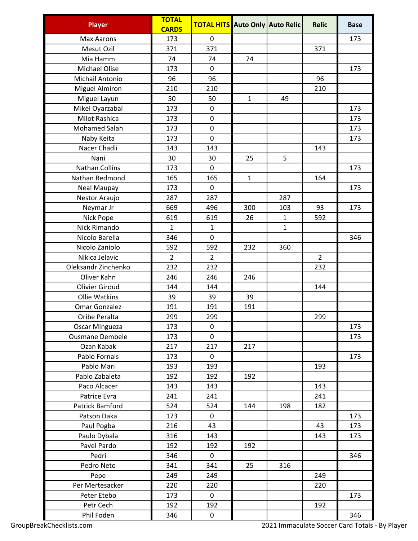| <b>Max Aarons</b><br>173<br>0<br>173<br>Mesut Ozil<br>371<br>371<br>371<br>74<br>Mia Hamm<br>74<br>74<br><b>Michael Olise</b><br>173<br>0<br>173<br>96<br>Michail Antonio<br>96<br>96<br><b>Miguel Almiron</b><br>210<br>210<br>210<br>50<br>Miguel Layun<br>50<br>$\mathbf{1}$<br>49<br>Mikel Oyarzabal<br>173<br>0<br>173<br>Milot Rashica<br>173<br>0<br>173<br><b>Mohamed Salah</b><br>173<br>0<br>173<br>0<br>Naby Keita<br>173<br>173<br>Nacer Chadli<br>143<br>143<br>143<br>30<br>5<br>Nani<br>30<br>25<br><b>Nathan Collins</b><br>173<br>0<br>173<br>165<br>Nathan Redmond<br>165<br>$\mathbf{1}$<br>164<br>0<br><b>Neal Maupay</b><br>173<br>173<br>287<br>287<br>287<br>Nestor Araujo<br>669<br>496<br>300<br>103<br>93<br>173<br>Neymar Jr<br>Nick Pope<br>619<br>619<br>26<br>$\mathbf{1}$<br>592<br>$\mathbf{1}$<br><b>Nick Rimando</b><br>$\mathbf{1}$<br>$\mathbf{1}$<br>Nicolo Barella<br>346<br>0<br>346<br>Nicolo Zaniolo<br>592<br>592<br>232<br>360<br>Nikica Jelavic<br>$\overline{2}$<br>$\overline{2}$<br>$\overline{2}$<br>Oleksandr Zinchenko<br>232<br>232<br>232<br>Oliver Kahn<br>246<br>246<br>246<br><b>Olivier Giroud</b><br>144<br>144<br>144<br>39<br><b>Ollie Watkins</b><br>39<br>39<br><b>Omar Gonzalez</b><br>191<br>191<br>191<br>299<br>299<br>299<br>Oribe Peralta<br>0<br><b>Oscar Mingueza</b><br>173<br>173<br><b>Ousmane Dembele</b><br>173<br>0<br>173<br>217<br>Ozan Kabak<br>217<br>217<br>Pablo Fornals<br>173<br>0<br>173<br>Pablo Mari<br>193<br>193<br>193<br>Pablo Zabaleta<br>192<br>192<br>192<br>143<br>143<br>143<br>Paco Alcacer<br>241<br>Patrice Evra<br>241<br>241<br>Patrick Bamford<br>524<br>524<br>144<br>198<br>182<br>Patson Daka<br>173<br>0<br>173<br>Paul Pogba<br>216<br>43<br>173<br>43<br>143<br>Paulo Dybala<br>316<br>143<br>173<br>Pavel Pardo<br>192<br>192<br>192<br>Pedri<br>0<br>346<br>346<br>Pedro Neto<br>341<br>341<br>25<br>316<br>249<br>249<br>249<br>Pepe<br>Per Mertesacker<br>220<br>220<br>220<br>Peter Etebo<br>173<br>0<br>173<br>192<br>192<br>Petr Cech<br>192 | <b>Player</b> | <b>TOTAL</b><br><b>CARDS</b> | <b>TOTAL HITS</b> Auto Only Auto Relic |  | <b>Relic</b> | <b>Base</b> |
|----------------------------------------------------------------------------------------------------------------------------------------------------------------------------------------------------------------------------------------------------------------------------------------------------------------------------------------------------------------------------------------------------------------------------------------------------------------------------------------------------------------------------------------------------------------------------------------------------------------------------------------------------------------------------------------------------------------------------------------------------------------------------------------------------------------------------------------------------------------------------------------------------------------------------------------------------------------------------------------------------------------------------------------------------------------------------------------------------------------------------------------------------------------------------------------------------------------------------------------------------------------------------------------------------------------------------------------------------------------------------------------------------------------------------------------------------------------------------------------------------------------------------------------------------------------------------------------------------------------------------------------------------------------------------------------------------------------------------------------------------------------------------------------------------------------------------------------------------------------------------------------------------------------------------------------------------------------------------------------------------------------------------------------------------------------|---------------|------------------------------|----------------------------------------|--|--------------|-------------|
|                                                                                                                                                                                                                                                                                                                                                                                                                                                                                                                                                                                                                                                                                                                                                                                                                                                                                                                                                                                                                                                                                                                                                                                                                                                                                                                                                                                                                                                                                                                                                                                                                                                                                                                                                                                                                                                                                                                                                                                                                                                                |               |                              |                                        |  |              |             |
|                                                                                                                                                                                                                                                                                                                                                                                                                                                                                                                                                                                                                                                                                                                                                                                                                                                                                                                                                                                                                                                                                                                                                                                                                                                                                                                                                                                                                                                                                                                                                                                                                                                                                                                                                                                                                                                                                                                                                                                                                                                                |               |                              |                                        |  |              |             |
|                                                                                                                                                                                                                                                                                                                                                                                                                                                                                                                                                                                                                                                                                                                                                                                                                                                                                                                                                                                                                                                                                                                                                                                                                                                                                                                                                                                                                                                                                                                                                                                                                                                                                                                                                                                                                                                                                                                                                                                                                                                                |               |                              |                                        |  |              |             |
|                                                                                                                                                                                                                                                                                                                                                                                                                                                                                                                                                                                                                                                                                                                                                                                                                                                                                                                                                                                                                                                                                                                                                                                                                                                                                                                                                                                                                                                                                                                                                                                                                                                                                                                                                                                                                                                                                                                                                                                                                                                                |               |                              |                                        |  |              |             |
|                                                                                                                                                                                                                                                                                                                                                                                                                                                                                                                                                                                                                                                                                                                                                                                                                                                                                                                                                                                                                                                                                                                                                                                                                                                                                                                                                                                                                                                                                                                                                                                                                                                                                                                                                                                                                                                                                                                                                                                                                                                                |               |                              |                                        |  |              |             |
|                                                                                                                                                                                                                                                                                                                                                                                                                                                                                                                                                                                                                                                                                                                                                                                                                                                                                                                                                                                                                                                                                                                                                                                                                                                                                                                                                                                                                                                                                                                                                                                                                                                                                                                                                                                                                                                                                                                                                                                                                                                                |               |                              |                                        |  |              |             |
|                                                                                                                                                                                                                                                                                                                                                                                                                                                                                                                                                                                                                                                                                                                                                                                                                                                                                                                                                                                                                                                                                                                                                                                                                                                                                                                                                                                                                                                                                                                                                                                                                                                                                                                                                                                                                                                                                                                                                                                                                                                                |               |                              |                                        |  |              |             |
|                                                                                                                                                                                                                                                                                                                                                                                                                                                                                                                                                                                                                                                                                                                                                                                                                                                                                                                                                                                                                                                                                                                                                                                                                                                                                                                                                                                                                                                                                                                                                                                                                                                                                                                                                                                                                                                                                                                                                                                                                                                                |               |                              |                                        |  |              |             |
|                                                                                                                                                                                                                                                                                                                                                                                                                                                                                                                                                                                                                                                                                                                                                                                                                                                                                                                                                                                                                                                                                                                                                                                                                                                                                                                                                                                                                                                                                                                                                                                                                                                                                                                                                                                                                                                                                                                                                                                                                                                                |               |                              |                                        |  |              |             |
|                                                                                                                                                                                                                                                                                                                                                                                                                                                                                                                                                                                                                                                                                                                                                                                                                                                                                                                                                                                                                                                                                                                                                                                                                                                                                                                                                                                                                                                                                                                                                                                                                                                                                                                                                                                                                                                                                                                                                                                                                                                                |               |                              |                                        |  |              |             |
|                                                                                                                                                                                                                                                                                                                                                                                                                                                                                                                                                                                                                                                                                                                                                                                                                                                                                                                                                                                                                                                                                                                                                                                                                                                                                                                                                                                                                                                                                                                                                                                                                                                                                                                                                                                                                                                                                                                                                                                                                                                                |               |                              |                                        |  |              |             |
|                                                                                                                                                                                                                                                                                                                                                                                                                                                                                                                                                                                                                                                                                                                                                                                                                                                                                                                                                                                                                                                                                                                                                                                                                                                                                                                                                                                                                                                                                                                                                                                                                                                                                                                                                                                                                                                                                                                                                                                                                                                                |               |                              |                                        |  |              |             |
|                                                                                                                                                                                                                                                                                                                                                                                                                                                                                                                                                                                                                                                                                                                                                                                                                                                                                                                                                                                                                                                                                                                                                                                                                                                                                                                                                                                                                                                                                                                                                                                                                                                                                                                                                                                                                                                                                                                                                                                                                                                                |               |                              |                                        |  |              |             |
|                                                                                                                                                                                                                                                                                                                                                                                                                                                                                                                                                                                                                                                                                                                                                                                                                                                                                                                                                                                                                                                                                                                                                                                                                                                                                                                                                                                                                                                                                                                                                                                                                                                                                                                                                                                                                                                                                                                                                                                                                                                                |               |                              |                                        |  |              |             |
|                                                                                                                                                                                                                                                                                                                                                                                                                                                                                                                                                                                                                                                                                                                                                                                                                                                                                                                                                                                                                                                                                                                                                                                                                                                                                                                                                                                                                                                                                                                                                                                                                                                                                                                                                                                                                                                                                                                                                                                                                                                                |               |                              |                                        |  |              |             |
|                                                                                                                                                                                                                                                                                                                                                                                                                                                                                                                                                                                                                                                                                                                                                                                                                                                                                                                                                                                                                                                                                                                                                                                                                                                                                                                                                                                                                                                                                                                                                                                                                                                                                                                                                                                                                                                                                                                                                                                                                                                                |               |                              |                                        |  |              |             |
|                                                                                                                                                                                                                                                                                                                                                                                                                                                                                                                                                                                                                                                                                                                                                                                                                                                                                                                                                                                                                                                                                                                                                                                                                                                                                                                                                                                                                                                                                                                                                                                                                                                                                                                                                                                                                                                                                                                                                                                                                                                                |               |                              |                                        |  |              |             |
|                                                                                                                                                                                                                                                                                                                                                                                                                                                                                                                                                                                                                                                                                                                                                                                                                                                                                                                                                                                                                                                                                                                                                                                                                                                                                                                                                                                                                                                                                                                                                                                                                                                                                                                                                                                                                                                                                                                                                                                                                                                                |               |                              |                                        |  |              |             |
|                                                                                                                                                                                                                                                                                                                                                                                                                                                                                                                                                                                                                                                                                                                                                                                                                                                                                                                                                                                                                                                                                                                                                                                                                                                                                                                                                                                                                                                                                                                                                                                                                                                                                                                                                                                                                                                                                                                                                                                                                                                                |               |                              |                                        |  |              |             |
|                                                                                                                                                                                                                                                                                                                                                                                                                                                                                                                                                                                                                                                                                                                                                                                                                                                                                                                                                                                                                                                                                                                                                                                                                                                                                                                                                                                                                                                                                                                                                                                                                                                                                                                                                                                                                                                                                                                                                                                                                                                                |               |                              |                                        |  |              |             |
|                                                                                                                                                                                                                                                                                                                                                                                                                                                                                                                                                                                                                                                                                                                                                                                                                                                                                                                                                                                                                                                                                                                                                                                                                                                                                                                                                                                                                                                                                                                                                                                                                                                                                                                                                                                                                                                                                                                                                                                                                                                                |               |                              |                                        |  |              |             |
|                                                                                                                                                                                                                                                                                                                                                                                                                                                                                                                                                                                                                                                                                                                                                                                                                                                                                                                                                                                                                                                                                                                                                                                                                                                                                                                                                                                                                                                                                                                                                                                                                                                                                                                                                                                                                                                                                                                                                                                                                                                                |               |                              |                                        |  |              |             |
|                                                                                                                                                                                                                                                                                                                                                                                                                                                                                                                                                                                                                                                                                                                                                                                                                                                                                                                                                                                                                                                                                                                                                                                                                                                                                                                                                                                                                                                                                                                                                                                                                                                                                                                                                                                                                                                                                                                                                                                                                                                                |               |                              |                                        |  |              |             |
|                                                                                                                                                                                                                                                                                                                                                                                                                                                                                                                                                                                                                                                                                                                                                                                                                                                                                                                                                                                                                                                                                                                                                                                                                                                                                                                                                                                                                                                                                                                                                                                                                                                                                                                                                                                                                                                                                                                                                                                                                                                                |               |                              |                                        |  |              |             |
|                                                                                                                                                                                                                                                                                                                                                                                                                                                                                                                                                                                                                                                                                                                                                                                                                                                                                                                                                                                                                                                                                                                                                                                                                                                                                                                                                                                                                                                                                                                                                                                                                                                                                                                                                                                                                                                                                                                                                                                                                                                                |               |                              |                                        |  |              |             |
|                                                                                                                                                                                                                                                                                                                                                                                                                                                                                                                                                                                                                                                                                                                                                                                                                                                                                                                                                                                                                                                                                                                                                                                                                                                                                                                                                                                                                                                                                                                                                                                                                                                                                                                                                                                                                                                                                                                                                                                                                                                                |               |                              |                                        |  |              |             |
|                                                                                                                                                                                                                                                                                                                                                                                                                                                                                                                                                                                                                                                                                                                                                                                                                                                                                                                                                                                                                                                                                                                                                                                                                                                                                                                                                                                                                                                                                                                                                                                                                                                                                                                                                                                                                                                                                                                                                                                                                                                                |               |                              |                                        |  |              |             |
|                                                                                                                                                                                                                                                                                                                                                                                                                                                                                                                                                                                                                                                                                                                                                                                                                                                                                                                                                                                                                                                                                                                                                                                                                                                                                                                                                                                                                                                                                                                                                                                                                                                                                                                                                                                                                                                                                                                                                                                                                                                                |               |                              |                                        |  |              |             |
|                                                                                                                                                                                                                                                                                                                                                                                                                                                                                                                                                                                                                                                                                                                                                                                                                                                                                                                                                                                                                                                                                                                                                                                                                                                                                                                                                                                                                                                                                                                                                                                                                                                                                                                                                                                                                                                                                                                                                                                                                                                                |               |                              |                                        |  |              |             |
|                                                                                                                                                                                                                                                                                                                                                                                                                                                                                                                                                                                                                                                                                                                                                                                                                                                                                                                                                                                                                                                                                                                                                                                                                                                                                                                                                                                                                                                                                                                                                                                                                                                                                                                                                                                                                                                                                                                                                                                                                                                                |               |                              |                                        |  |              |             |
|                                                                                                                                                                                                                                                                                                                                                                                                                                                                                                                                                                                                                                                                                                                                                                                                                                                                                                                                                                                                                                                                                                                                                                                                                                                                                                                                                                                                                                                                                                                                                                                                                                                                                                                                                                                                                                                                                                                                                                                                                                                                |               |                              |                                        |  |              |             |
|                                                                                                                                                                                                                                                                                                                                                                                                                                                                                                                                                                                                                                                                                                                                                                                                                                                                                                                                                                                                                                                                                                                                                                                                                                                                                                                                                                                                                                                                                                                                                                                                                                                                                                                                                                                                                                                                                                                                                                                                                                                                |               |                              |                                        |  |              |             |
|                                                                                                                                                                                                                                                                                                                                                                                                                                                                                                                                                                                                                                                                                                                                                                                                                                                                                                                                                                                                                                                                                                                                                                                                                                                                                                                                                                                                                                                                                                                                                                                                                                                                                                                                                                                                                                                                                                                                                                                                                                                                |               |                              |                                        |  |              |             |
|                                                                                                                                                                                                                                                                                                                                                                                                                                                                                                                                                                                                                                                                                                                                                                                                                                                                                                                                                                                                                                                                                                                                                                                                                                                                                                                                                                                                                                                                                                                                                                                                                                                                                                                                                                                                                                                                                                                                                                                                                                                                |               |                              |                                        |  |              |             |
|                                                                                                                                                                                                                                                                                                                                                                                                                                                                                                                                                                                                                                                                                                                                                                                                                                                                                                                                                                                                                                                                                                                                                                                                                                                                                                                                                                                                                                                                                                                                                                                                                                                                                                                                                                                                                                                                                                                                                                                                                                                                |               |                              |                                        |  |              |             |
|                                                                                                                                                                                                                                                                                                                                                                                                                                                                                                                                                                                                                                                                                                                                                                                                                                                                                                                                                                                                                                                                                                                                                                                                                                                                                                                                                                                                                                                                                                                                                                                                                                                                                                                                                                                                                                                                                                                                                                                                                                                                |               |                              |                                        |  |              |             |
|                                                                                                                                                                                                                                                                                                                                                                                                                                                                                                                                                                                                                                                                                                                                                                                                                                                                                                                                                                                                                                                                                                                                                                                                                                                                                                                                                                                                                                                                                                                                                                                                                                                                                                                                                                                                                                                                                                                                                                                                                                                                |               |                              |                                        |  |              |             |
|                                                                                                                                                                                                                                                                                                                                                                                                                                                                                                                                                                                                                                                                                                                                                                                                                                                                                                                                                                                                                                                                                                                                                                                                                                                                                                                                                                                                                                                                                                                                                                                                                                                                                                                                                                                                                                                                                                                                                                                                                                                                |               |                              |                                        |  |              |             |
|                                                                                                                                                                                                                                                                                                                                                                                                                                                                                                                                                                                                                                                                                                                                                                                                                                                                                                                                                                                                                                                                                                                                                                                                                                                                                                                                                                                                                                                                                                                                                                                                                                                                                                                                                                                                                                                                                                                                                                                                                                                                |               |                              |                                        |  |              |             |
|                                                                                                                                                                                                                                                                                                                                                                                                                                                                                                                                                                                                                                                                                                                                                                                                                                                                                                                                                                                                                                                                                                                                                                                                                                                                                                                                                                                                                                                                                                                                                                                                                                                                                                                                                                                                                                                                                                                                                                                                                                                                |               |                              |                                        |  |              |             |
|                                                                                                                                                                                                                                                                                                                                                                                                                                                                                                                                                                                                                                                                                                                                                                                                                                                                                                                                                                                                                                                                                                                                                                                                                                                                                                                                                                                                                                                                                                                                                                                                                                                                                                                                                                                                                                                                                                                                                                                                                                                                |               |                              |                                        |  |              |             |
|                                                                                                                                                                                                                                                                                                                                                                                                                                                                                                                                                                                                                                                                                                                                                                                                                                                                                                                                                                                                                                                                                                                                                                                                                                                                                                                                                                                                                                                                                                                                                                                                                                                                                                                                                                                                                                                                                                                                                                                                                                                                |               |                              |                                        |  |              |             |
|                                                                                                                                                                                                                                                                                                                                                                                                                                                                                                                                                                                                                                                                                                                                                                                                                                                                                                                                                                                                                                                                                                                                                                                                                                                                                                                                                                                                                                                                                                                                                                                                                                                                                                                                                                                                                                                                                                                                                                                                                                                                |               |                              |                                        |  |              |             |
|                                                                                                                                                                                                                                                                                                                                                                                                                                                                                                                                                                                                                                                                                                                                                                                                                                                                                                                                                                                                                                                                                                                                                                                                                                                                                                                                                                                                                                                                                                                                                                                                                                                                                                                                                                                                                                                                                                                                                                                                                                                                |               |                              |                                        |  |              |             |
|                                                                                                                                                                                                                                                                                                                                                                                                                                                                                                                                                                                                                                                                                                                                                                                                                                                                                                                                                                                                                                                                                                                                                                                                                                                                                                                                                                                                                                                                                                                                                                                                                                                                                                                                                                                                                                                                                                                                                                                                                                                                |               |                              |                                        |  |              |             |
|                                                                                                                                                                                                                                                                                                                                                                                                                                                                                                                                                                                                                                                                                                                                                                                                                                                                                                                                                                                                                                                                                                                                                                                                                                                                                                                                                                                                                                                                                                                                                                                                                                                                                                                                                                                                                                                                                                                                                                                                                                                                |               |                              |                                        |  |              |             |
|                                                                                                                                                                                                                                                                                                                                                                                                                                                                                                                                                                                                                                                                                                                                                                                                                                                                                                                                                                                                                                                                                                                                                                                                                                                                                                                                                                                                                                                                                                                                                                                                                                                                                                                                                                                                                                                                                                                                                                                                                                                                |               |                              |                                        |  |              |             |
|                                                                                                                                                                                                                                                                                                                                                                                                                                                                                                                                                                                                                                                                                                                                                                                                                                                                                                                                                                                                                                                                                                                                                                                                                                                                                                                                                                                                                                                                                                                                                                                                                                                                                                                                                                                                                                                                                                                                                                                                                                                                |               |                              |                                        |  |              |             |
|                                                                                                                                                                                                                                                                                                                                                                                                                                                                                                                                                                                                                                                                                                                                                                                                                                                                                                                                                                                                                                                                                                                                                                                                                                                                                                                                                                                                                                                                                                                                                                                                                                                                                                                                                                                                                                                                                                                                                                                                                                                                | Phil Foden    | 346                          | 0                                      |  |              | 346         |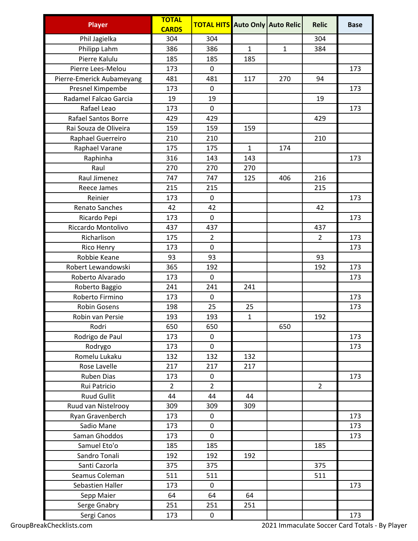| <b>Player</b>              | <b>TOTAL</b><br><b>CARDS</b> | <b>TOTAL HITS</b> |              | Auto Only Auto Relic | <b>Relic</b>   | <b>Base</b> |
|----------------------------|------------------------------|-------------------|--------------|----------------------|----------------|-------------|
| Phil Jagielka              | 304                          | 304               |              |                      | 304            |             |
| Philipp Lahm               | 386                          | 386               | $\mathbf{1}$ | $\mathbf{1}$         | 384            |             |
| Pierre Kalulu              | 185                          | 185               | 185          |                      |                |             |
| Pierre Lees-Melou          | 173                          | 0                 |              |                      |                | 173         |
| Pierre-Emerick Aubameyang  | 481                          | 481               | 117          | 270                  | 94             |             |
| Presnel Kimpembe           | 173                          | 0                 |              |                      |                | 173         |
| Radamel Falcao Garcia      | 19                           | 19                |              |                      | 19             |             |
| Rafael Leao                | 173                          | 0                 |              |                      |                | 173         |
| <b>Rafael Santos Borre</b> | 429                          | 429               |              |                      | 429            |             |
| Rai Souza de Oliveira      | 159                          | 159               | 159          |                      |                |             |
| Raphael Guerreiro          | 210                          | 210               |              |                      | 210            |             |
| Raphael Varane             | 175                          | 175               | $\mathbf{1}$ | 174                  |                |             |
| Raphinha                   | 316                          | 143               | 143          |                      |                | 173         |
| Raul                       | 270                          | 270               | 270          |                      |                |             |
| Raul Jimenez               | 747                          | 747               | 125          | 406                  | 216            |             |
| Reece James                | 215                          | 215               |              |                      | 215            |             |
| Reinier                    | 173                          | $\mathbf 0$       |              |                      |                | 173         |
| Renato Sanches             | 42                           | 42                |              |                      | 42             |             |
| Ricardo Pepi               | 173                          | 0                 |              |                      |                | 173         |
| Riccardo Montolivo         | 437                          | 437               |              |                      | 437            |             |
| Richarlison                | 175                          | $\overline{2}$    |              |                      | $\overline{2}$ | 173         |
| Rico Henry                 | 173                          | 0                 |              |                      |                | 173         |
| Robbie Keane               | 93                           | 93                |              |                      | 93             |             |
| Robert Lewandowski         | 365                          | 192               |              |                      | 192            | 173         |
| Roberto Alvarado           | 173                          | 0                 |              |                      |                | 173         |
| Roberto Baggio             | 241                          | 241               | 241          |                      |                |             |
| Roberto Firmino            | 173                          | 0                 |              |                      |                | 173         |
| <b>Robin Gosens</b>        | 198                          | 25                | 25           |                      |                | 173         |
| Robin van Persie           | 193                          | 193               | $\mathbf{1}$ |                      | 192            |             |
| Rodri                      | 650                          | 650               |              | 650                  |                |             |
| Rodrigo de Paul            | 173                          | 0                 |              |                      |                | 173         |
| Rodrygo                    | 173                          | 0                 |              |                      |                | 173         |
| Romelu Lukaku              | 132                          | 132               | 132          |                      |                |             |
| Rose Lavelle               | 217                          | 217               | 217          |                      |                |             |
| Ruben Dias                 | 173                          | 0                 |              |                      |                | 173         |
| Rui Patricio               | $\overline{2}$               | $\overline{2}$    |              |                      | $\overline{2}$ |             |
| <b>Ruud Gullit</b>         | 44                           | 44                | 44           |                      |                |             |
| Ruud van Nistelrooy        | 309                          | 309               | 309          |                      |                |             |
| Ryan Gravenberch           | 173                          | 0                 |              |                      |                | 173         |
| Sadio Mane                 | 173                          | 0                 |              |                      |                | 173         |
| Saman Ghoddos              | 173                          | 0                 |              |                      |                | 173         |
| Samuel Eto'o               | 185                          | 185               |              |                      | 185            |             |
| Sandro Tonali              | 192                          | 192               | 192          |                      |                |             |
| Santi Cazorla              | 375                          | 375               |              |                      | 375            |             |
| Seamus Coleman             | 511                          | 511               |              |                      | 511            |             |
| Sebastien Haller           | 173                          | 0                 |              |                      |                | 173         |
| Sepp Maier                 | 64                           | 64                | 64           |                      |                |             |
| Serge Gnabry               | 251                          | 251               | 251          |                      |                |             |
| Sergi Canos                | 173                          | 0                 |              |                      |                | 173         |
|                            |                              |                   |              |                      |                |             |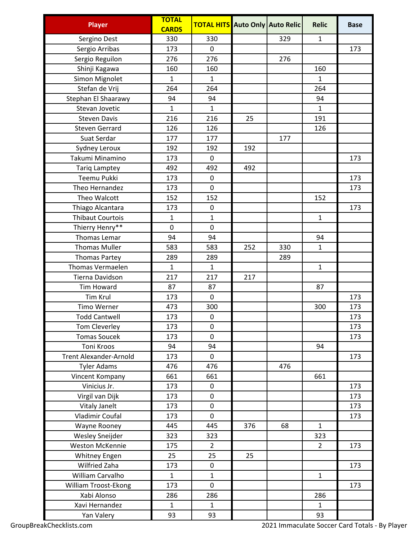| <b>Player</b>                         | <b>TOTAL</b><br><b>CARDS</b> | <b>TOTAL HITS</b> Auto Only Auto Relic |     |     | <b>Relic</b>   | <b>Base</b> |
|---------------------------------------|------------------------------|----------------------------------------|-----|-----|----------------|-------------|
|                                       | 330                          | 330                                    |     | 329 | $\mathbf{1}$   |             |
| Sergino Dest                          | 173                          | $\mathbf 0$                            |     |     |                | 173         |
| Sergio Arribas<br>Sergio Reguilon     | 276                          | 276                                    |     | 276 |                |             |
|                                       | 160                          | 160                                    |     |     | 160            |             |
| Shinji Kagawa<br>Simon Mignolet       | $\mathbf{1}$                 | $\mathbf{1}$                           |     |     | $\mathbf{1}$   |             |
| Stefan de Vrij                        | 264                          | 264                                    |     |     | 264            |             |
|                                       | 94                           | 94                                     |     |     | 94             |             |
| Stephan El Shaarawy<br>Stevan Jovetic | $\mathbf{1}$                 | $\mathbf{1}$                           |     |     | $\mathbf{1}$   |             |
| <b>Steven Davis</b>                   | 216                          | 216                                    |     |     | 191            |             |
| <b>Steven Gerrard</b>                 | 126                          | 126                                    | 25  |     | 126            |             |
| Suat Serdar                           | 177                          | 177                                    |     | 177 |                |             |
|                                       |                              |                                        |     |     |                |             |
| Sydney Leroux<br>Takumi Minamino      | 192                          | 192                                    | 192 |     |                |             |
|                                       | 173                          | $\mathbf 0$                            |     |     |                | 173         |
| <b>Tariq Lamptey</b>                  | 492                          | 492                                    | 492 |     |                |             |
| Teemu Pukki                           | 173                          | 0                                      |     |     |                | 173         |
| Theo Hernandez                        | 173                          | $\mathbf 0$                            |     |     |                | 173         |
| Theo Walcott                          | 152                          | 152                                    |     |     | 152            |             |
| Thiago Alcantara                      | 173                          | $\pmb{0}$                              |     |     |                | 173         |
| <b>Thibaut Courtois</b>               | $\mathbf{1}$                 | $\mathbf{1}$                           |     |     | $\mathbf{1}$   |             |
| Thierry Henry**                       | $\mathbf 0$                  | $\mathbf 0$                            |     |     |                |             |
| Thomas Lemar                          | 94                           | 94                                     |     |     | 94             |             |
| <b>Thomas Muller</b>                  | 583                          | 583                                    | 252 | 330 | $\mathbf{1}$   |             |
| <b>Thomas Partey</b>                  | 289                          | 289                                    |     | 289 |                |             |
| <b>Thomas Vermaelen</b>               | $\mathbf{1}$                 | $\mathbf{1}$                           |     |     | $\mathbf{1}$   |             |
| Tierna Davidson                       | 217                          | 217                                    | 217 |     |                |             |
| <b>Tim Howard</b>                     | 87                           | 87                                     |     |     | 87             |             |
| <b>Tim Krul</b>                       | 173                          | $\mathbf 0$                            |     |     |                | 173         |
| <b>Timo Werner</b>                    | 473                          | 300                                    |     |     | 300            | 173         |
| <b>Todd Cantwell</b>                  | 173                          | $\pmb{0}$                              |     |     |                | 173         |
| Tom Cleverley                         | 173                          | 0                                      |     |     |                | 173         |
| <b>Tomas Soucek</b>                   | 173                          | 0                                      |     |     |                | 173         |
| <b>Toni Kroos</b>                     | 94                           | 94                                     |     |     | 94             |             |
| <b>Trent Alexander-Arnold</b>         | 173                          | 0                                      |     |     |                | 173         |
| <b>Tyler Adams</b>                    | 476                          | 476                                    |     | 476 |                |             |
| Vincent Kompany                       | 661                          | 661                                    |     |     | 661            |             |
| Vinicius Jr.                          | 173                          | $\pmb{0}$                              |     |     |                | 173         |
| Virgil van Dijk                       | 173                          | 0                                      |     |     |                | 173         |
| <b>Vitaly Janelt</b>                  | 173                          | 0                                      |     |     |                | 173         |
| Vladimir Coufal                       | 173                          | 0                                      |     |     |                | 173         |
| Wayne Rooney                          | 445                          | 445                                    | 376 | 68  | $\mathbf{1}$   |             |
| <b>Wesley Sneijder</b>                | 323                          | 323                                    |     |     | 323            |             |
| <b>Weston McKennie</b>                | 175                          | $\overline{2}$                         |     |     | $\overline{2}$ | 173         |
| <b>Whitney Engen</b>                  | 25                           | 25                                     | 25  |     |                |             |
| Wilfried Zaha                         | 173                          | $\mathbf 0$                            |     |     |                | 173         |
| William Carvalho                      | $\mathbf{1}$                 | $\mathbf{1}$                           |     |     | $\mathbf{1}$   |             |
| William Troost-Ekong                  | 173                          | $\mathbf 0$                            |     |     |                | 173         |
| Xabi Alonso                           | 286                          | 286                                    |     |     | 286            |             |
| Xavi Hernandez                        | $\mathbf{1}$                 | $\mathbf{1}$                           |     |     | $\mathbf{1}$   |             |
| Yan Valery                            | 93                           | 93                                     |     |     | 93             |             |